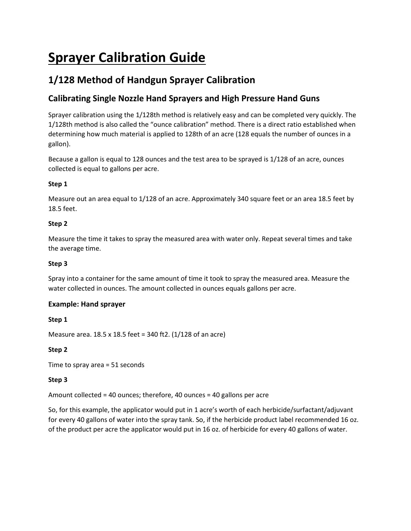# **Sprayer Calibration Guide**

# **1/128 Method of Handgun Sprayer Calibration**

# **Calibrating Single Nozzle Hand Sprayers and High Pressure Hand Guns**

Sprayer calibration using the 1/128th method is relatively easy and can be completed very quickly. The 1/128th method is also called the "ounce calibration" method. There is a direct ratio established when determining how much material is applied to 128th of an acre (128 equals the number of ounces in a gallon).

Because a gallon is equal to 128 ounces and the test area to be sprayed is 1/128 of an acre, ounces collected is equal to gallons per acre.

# **Step 1**

Measure out an area equal to 1/128 of an acre. Approximately 340 square feet or an area 18.5 feet by 18.5 feet.

## **Step 2**

Measure the time it takes to spray the measured area with water only. Repeat several times and take the average time.

## **Step 3**

Spray into a container for the same amount of time it took to spray the measured area. Measure the water collected in ounces. The amount collected in ounces equals gallons per acre.

# **Example: Hand sprayer**

## **Step 1**

Measure area. 18.5 x 18.5 feet = 340 ft2. (1/128 of an acre)

## **Step 2**

Time to spray area = 51 seconds

# **Step 3**

Amount collected = 40 ounces; therefore, 40 ounces = 40 gallons per acre

So, for this example, the applicator would put in 1 acre's worth of each herbicide/surfactant/adjuvant for every 40 gallons of water into the spray tank. So, if the herbicide product label recommended 16 oz. of the product per acre the applicator would put in 16 oz. of herbicide for every 40 gallons of water.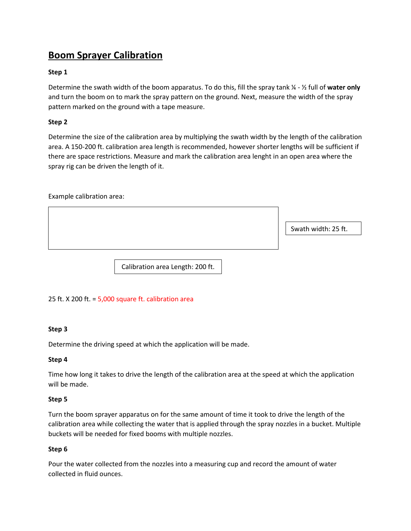# **Boom Sprayer Calibration**

### **Step 1**

Determine the swath width of the boom apparatus. To do this, fill the spray tank ¼ - ½ full of **water only** and turn the boom on to mark the spray pattern on the ground. Next, measure the width of the spray pattern marked on the ground with a tape measure.

### **Step 2**

Determine the size of the calibration area by multiplying the swath width by the length of the calibration area. A 150-200 ft. calibration area length is recommended, however shorter lengths will be sufficient if there are space restrictions. Measure and mark the calibration area lenght in an open area where the spray rig can be driven the length of it.

Example calibration area:

Swath width: 25 ft.

Calibration area Length: 200 ft.

## 25 ft.  $X$  200 ft. = 5,000 square ft. calibration area

### **Step 3**

Determine the driving speed at which the application will be made.

### **Step 4**

Time how long it takes to drive the length of the calibration area at the speed at which the application will be made.

### **Step 5**

Turn the boom sprayer apparatus on for the same amount of time it took to drive the length of the calibration area while collecting the water that is applied through the spray nozzles in a bucket. Multiple buckets will be needed for fixed booms with multiple nozzles.

### **Step 6**

Pour the water collected from the nozzles into a measuring cup and record the amount of water collected in fluid ounces.